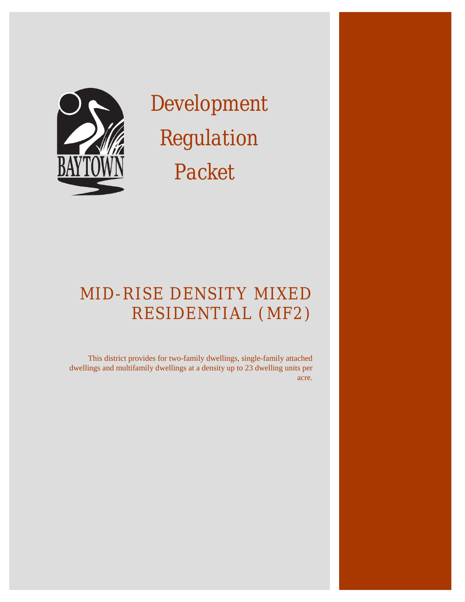#### THE INTENT OF THIS DOCUMENT IS TO ASSIST COMMERCIAL BUILDERS WITHIN THE CITY OF BAYTOWN IN IDENTIFYING APPLICABLE REGULATIONS FOR NEW CONSTRUCTION. PLEASE NOTE THAT THIS DOCUMENT IS NOT ALL-INCLUSIVE.

# **CONTENTS**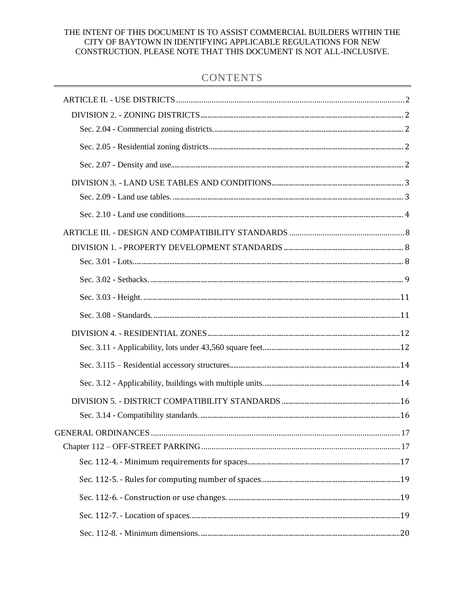# ARTICLE II. - USE DISTRICTS

DIVISION 2. - ZONING DISTRICTS

SEC. 2.04 - COMMERCIAL ZONING DISTRICTS.

<span id="page-2-2"></span><span id="page-2-1"></span><span id="page-2-0"></span>These districts are intended to implement and correspond to the comprehensive plan's future land use map designations and descriptions. The following districts are established:

SEC. 2.05 - RESIDENTIAL ZONING DISTRICTS.

<span id="page-2-3"></span>(g) *Mid-rise density mixed residential dwellings ("MF2").* This district provides for two-family dwellings, single-family attached dwellings and multifamily dwellings at a density up to 23 dwelling units per acre.

SEC. 2.07 - DENSITY AND USE.

<span id="page-2-4"></span>A mix of residential uses shall be allowed in SF2, MF1, and MF2 zoning districts according to density as shown in table 2-1.

#### **Table 2-1. Net Density/Allowed Use**

| <b>Density</b>         | Up to $23$      |
|------------------------|-----------------|
|                        | MF <sub>2</sub> |
| Single-family attached |                 |
| Two-family duplex      |                 |
| Multifamily            |                 |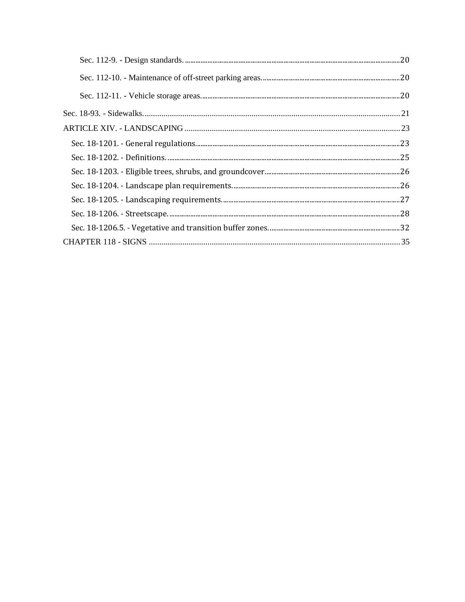### DIVISION 3. - LAND USE TABLES AND CONDITIONS

#### SEC. 2.09 - LAND USE TABLES.

- <span id="page-3-1"></span><span id="page-3-0"></span>(a) *Uses.* This subsection sets forth the land uses allowed in each zoning district. In the following tables "P" means permitted use and "PC" means permitted use with conditions as set forth in the conditions tables in division 3 of this article. Where neither a "P" nor a "PC" exists in the table, the use is prohibited. To the extent that there is a conflict between the use tables and the conditions, the use table controls.
- (b) *Prohibited uses.* In all residential zoning districts, the use of containers for any purpose is expressly prohibited.

#### **Table 2-4. Residential uses.**

| <b>USES</b>                        | MF <sub>2</sub> | <b>COND REF</b> |
|------------------------------------|-----------------|-----------------|
| Community services                 | PC              | $B6-7$          |
| Industrialized home                | $\mathbf P$     |                 |
| Multifamily dwelling               | PC              | <b>B11</b>      |
| Single-family residential attached | PC              | B14, B21        |
| Single-family residential detached |                 | <b>B17</b>      |
| Two-family dwelling duplex         | PC              | B18, B19        |
| Group home for the disabled        |                 | <b>B</b> 9      |
| Personal care home                 |                 | <b>B</b> 9      |
| Places of assembly                 | PC              | <b>B12</b>      |

Accessory uses are uses incidental and subordinate to the principal use, located on the same lot as the principal use and in the same zoning district as the principal use.

#### **Table 2-5. Residential accessory use table.**

| <b>ACCESSORY USE</b>                                                          | $\overline{\text{MF2}}$ | <b>COND REF</b>                  |
|-------------------------------------------------------------------------------|-------------------------|----------------------------------|
| Community building                                                            | PC                      | B <sub>5</sub>                   |
| Gazebo                                                                        | P                       | B <sub>2</sub>                   |
| Home occupation                                                               | <b>PC</b>               | <b>B2, B10</b>                   |
| Laundry building                                                              | PC                      | B <sub>5</sub>                   |
| Non-commercial solar energy facilities                                        | PC                      | B <sub>2</sub> , B <sub>15</sub> |
| On-site management office for multifamily or single-family attached dwellings | PC                      | B7                               |
| Pool, pool house, hot tub and their equipment                                 | P                       | B <sub>2</sub>                   |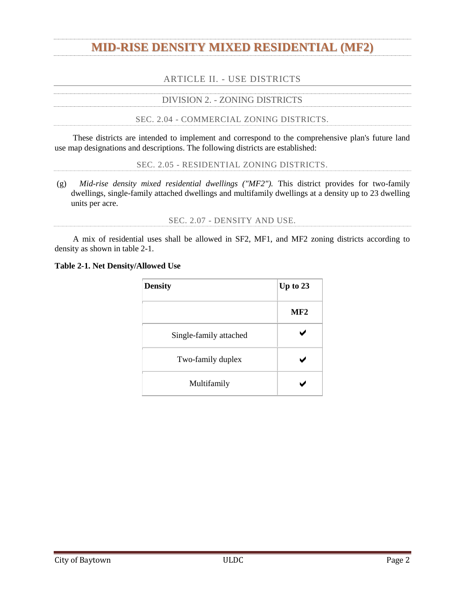| <b>ACCESSORY USE</b>     | IMF2 | <b>COND REF</b> |
|--------------------------|------|-----------------|
| Private open space       | PC   | B13, B23        |
| Private recreation space | PC.  | <b>B2, B13</b>  |
| Sports court             | D    | B <sub>2</sub>  |

#### SEC. 2.10 - LAND USE CONDITIONS.

<span id="page-4-0"></span>This section sets forth the conditions associated with identified land uses in section 2.05. The conditions expressed in the use table are cumulative of applicable conditions contained elsewhere in the Code.

| <b>Land Use</b> | Applicable<br><b>Zoning</b><br><b>District</b> | <b>Conditions</b> |
|-----------------|------------------------------------------------|-------------------|
|                 |                                                |                   |

#### **B. Residential Categories**

| $\overline{2}$ | All, where<br>Accessory<br>permitted<br>structures |                             | (a)                                                                         | Except barns, the sum of all accessory structures on a tract of<br>land must not exceed 75 percent of the gross square footage of<br>the primary structure on the same lot.                                             |
|----------------|----------------------------------------------------|-----------------------------|-----------------------------------------------------------------------------|-------------------------------------------------------------------------------------------------------------------------------------------------------------------------------------------------------------------------|
|                |                                                    |                             | (b)                                                                         | Residential accessory structures are allowed to remain in non-<br>residential zoning districts as nonconforming uses only if the<br>structure is an accessory to an existing, nonconforming<br>primary residential use. |
|                |                                                    | SF2 and all<br>MF districts | (a)                                                                         | Free standing buildings must be of the same architectural style<br>as the dwelling units they serve.                                                                                                                    |
| 5              | Community<br>building                              |                             | (b)                                                                         | Free standing buildings must be connected by walkways to<br>pedestrian areas and parking lots.                                                                                                                          |
|                |                                                    |                             | (c)                                                                         | Parking must be provided in the amount of one space for every<br>50 residential dwelling units in the complex or one space for<br>every 50 lots in the subdivision.                                                     |
| 6              | Community<br>All, where<br>services<br>permitted   |                             | (a)                                                                         | Community services shall be separated from all adjacent<br>residential dwellings by opaque screening.                                                                                                                   |
|                |                                                    | (b)                         | Minimum parking requirements are one per 200 square foot of<br>usable area. |                                                                                                                                                                                                                         |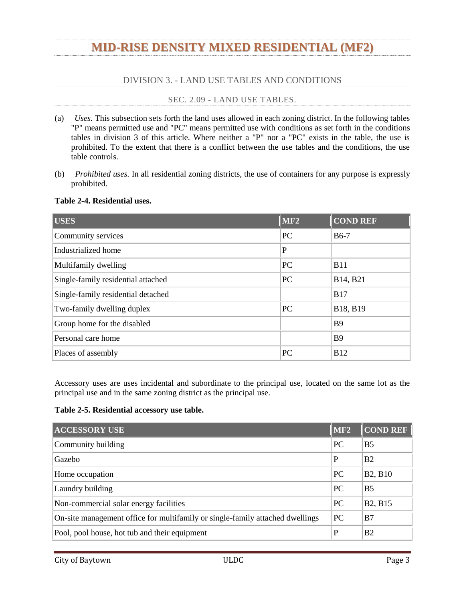|                | <b>Land Use</b>                                                                          | <b>Applicable</b><br><b>Zoning</b><br><b>District</b> |                                                                                                                                                     | <b>Conditions</b>                                                                                                                                                                                                                                                                                                             |  |  |
|----------------|------------------------------------------------------------------------------------------|-------------------------------------------------------|-----------------------------------------------------------------------------------------------------------------------------------------------------|-------------------------------------------------------------------------------------------------------------------------------------------------------------------------------------------------------------------------------------------------------------------------------------------------------------------------------|--|--|
| $\overline{7}$ | On-site<br>association<br>management<br>offices and club<br>houses for<br>dwelling units | All, where<br>permitted                               | Club houses and management facilities must be of similar<br>architecture to the apartment complex or the neighborhood in<br>which they are located. |                                                                                                                                                                                                                                                                                                                               |  |  |
|                | Family home day<br>care                                                                  | SFE, SF1,<br>SF2, MF1,<br>MF <sub>2</sub>             | (a)                                                                                                                                                 | There is a maximum of six children, including children of the<br>family providing day care.                                                                                                                                                                                                                                   |  |  |
| 8              |                                                                                          |                                                       | (b)                                                                                                                                                 | Only those family home day cares that are duly licensed by the<br>state are allowed.                                                                                                                                                                                                                                          |  |  |
|                |                                                                                          |                                                       | (c)                                                                                                                                                 | Baytown fire department permitting and inspections are<br>required.                                                                                                                                                                                                                                                           |  |  |
|                |                                                                                          |                                                       | (d)                                                                                                                                                 | All requirements for a home occupation shall be followed.                                                                                                                                                                                                                                                                     |  |  |
|                |                                                                                          |                                                       | (e)                                                                                                                                                 | Annual renewal of family home day care permit required with<br>an inspection in advance of renewal.                                                                                                                                                                                                                           |  |  |
|                |                                                                                          | All<br>residential<br>districts                       | (a)                                                                                                                                                 | A home occupation shall not exceed 25% of the heated/air<br>conditioned space of the dwelling unit.                                                                                                                                                                                                                           |  |  |
|                |                                                                                          |                                                       |                                                                                                                                                     | The following home occupation standards are intended to<br>permit residents to engage in home occupations within zoning<br>(b) districts that allow residential uses and that are compatible<br>with residential land uses and to ensure that home occupations<br>do not adversely affect the integrity of residential areas. |  |  |
|                | $10$ Home occupation                                                                     |                                                       | (c)                                                                                                                                                 | These home occupation standards shall have no application in<br>any non-residential zoning district.                                                                                                                                                                                                                          |  |  |
|                |                                                                                          |                                                       | (d)                                                                                                                                                 | A home occupation shall be considered an accessory use,<br>subject to the following standards:                                                                                                                                                                                                                                |  |  |
|                |                                                                                          |                                                       |                                                                                                                                                     | A home occupation must be conducted within a dwelling<br>which is the bona fide residence of the principal<br>i.<br>practitioner;                                                                                                                                                                                             |  |  |
|                |                                                                                          |                                                       |                                                                                                                                                     | There shall be no signs or other exterior visible evidence<br>ii.<br>of a home occupation;                                                                                                                                                                                                                                    |  |  |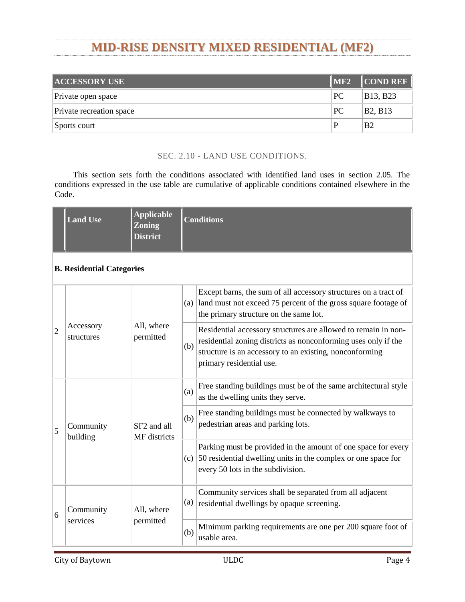|    | <b>Land Use</b>                 | <b>Applicable</b><br><b>Zoning</b><br><b>District</b> |     | <b>Conditions</b>                                                                                                                                                                       |                                                                                                                                                                                                                                                                                                                                                                                                                                          |  |
|----|---------------------------------|-------------------------------------------------------|-----|-----------------------------------------------------------------------------------------------------------------------------------------------------------------------------------------|------------------------------------------------------------------------------------------------------------------------------------------------------------------------------------------------------------------------------------------------------------------------------------------------------------------------------------------------------------------------------------------------------------------------------------------|--|
|    |                                 |                                                       |     | iii.                                                                                                                                                                                    | There shall be no storage of equipment visible outside the<br>dwelling, or materials or vehicles that have more than two<br>axles;                                                                                                                                                                                                                                                                                                       |  |
|    |                                 |                                                       |     | iv.                                                                                                                                                                                     | The home occupation shall be conducted entirely within<br>the principal residential building; and                                                                                                                                                                                                                                                                                                                                        |  |
|    |                                 |                                                       |     | V.                                                                                                                                                                                      | No equipment shall be used that creates noise, vibration,<br>electrical interference, smoke or particulate matter<br>emission, power demands or odors above the existing<br>level.                                                                                                                                                                                                                                                       |  |
|    |                                 |                                                       | (e) |                                                                                                                                                                                         | Home occupations shall comply with the operational<br>performance standards of this ULDC.                                                                                                                                                                                                                                                                                                                                                |  |
|    |                                 |                                                       | (f) |                                                                                                                                                                                         | Home occupation applicants shall complete an annual<br>registration form and pay the one-time and annual fees as<br>defined in chapter 2 of the Code of Ordinances.                                                                                                                                                                                                                                                                      |  |
|    |                                 | (a)                                                   |     |                                                                                                                                                                                         | If a multifamily complex is constructed in phases, the planned<br>amenities and community buildings must be constructed in an<br>at least equal ratio along with the residential buildings. For<br>example, a 200-unit apartment complex with two swimming<br>pools and two laundry buildings that is constructed in two 100-<br>unit phases must construct at least one swimming pool and one<br>laundry building with the first phase. |  |
| 11 | Multifamily<br>dwellings<br>MF3 | MF1, MF2,<br>(b)<br>(c)                               |     |                                                                                                                                                                                         | Developments in the MF1 may not use special flood hazard<br>areas in density calculation, thus preventing the development<br>from being overcrowded on usable land and thereby being<br>incompatible with the medium density duplex and townhouse<br>development standards.                                                                                                                                                              |  |
|    |                                 |                                                       |     | Gazebos, workshops, green houses and other similar accessory<br>uses are allowed in common space but may not be constructed<br>on leased space or designated for individual tenant use. |                                                                                                                                                                                                                                                                                                                                                                                                                                          |  |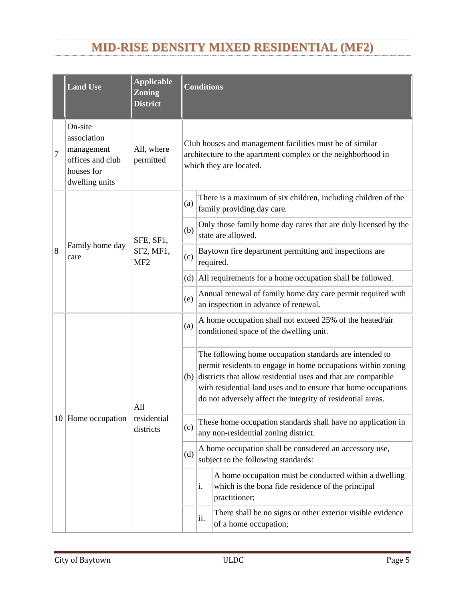|    | <b>Land Use</b>       | <b>Applicable</b><br><b>Zoning</b><br><b>District</b> | <b>Conditions</b> |                                                                                                                                                                                                                                                                                                                                          |  |
|----|-----------------------|-------------------------------------------------------|-------------------|------------------------------------------------------------------------------------------------------------------------------------------------------------------------------------------------------------------------------------------------------------------------------------------------------------------------------------------|--|
|    |                       |                                                       |                   | (a) Direct vehicle access shall be provided from an arterial street.                                                                                                                                                                                                                                                                     |  |
| 12 | Places of<br>assembly | All, where<br>permitted                               |                   | Outdoor recreation, entertainment and performing arts uses<br>associated with places of assembly that utilize outdoor lighting<br>(b) and speaker systems shall be setback at least 300 feet from any<br>residential use and shall provide a 25-foot wide vegetative<br>buffer against the property line containing the residential use. |  |
|    |                       |                                                       | (a)               | Private open space is not a public park and may not be used to<br>increase the net density on the project.                                                                                                                                                                                                                               |  |
|    |                       | All<br>residential<br>districts                       | (b)               | Private open space shall be a minimum of 100 square feet in<br>size.                                                                                                                                                                                                                                                                     |  |
| 13 | Private open<br>space |                                                       | (c)               | Private open space must be accessible to pedestrian pathways,<br>if available.                                                                                                                                                                                                                                                           |  |
|    |                       |                                                       | (d)               | Private open space must be deed restricted to private recreation<br>prior to any building permits being issued for any dwelling<br>unit.                                                                                                                                                                                                 |  |
|    |                       |                                                       | (a)               | Each single-family attached dwelling unit shall be situated on<br>a separate legally platted lot.                                                                                                                                                                                                                                        |  |
|    |                       |                                                       | (b)               | Required parking areas and garages shall be located to the rear<br>of the building.                                                                                                                                                                                                                                                      |  |
|    |                       |                                                       |                   | (c) Parking shall be permitted in the required street side yard.                                                                                                                                                                                                                                                                         |  |
| 14 | Single-family         | SF2, MF1,                                             |                   | A home owner's association shall be established and made<br>$(d)$ responsible for the perpetual maintenance and repair of<br>common areas.                                                                                                                                                                                               |  |
|    | dwelling attached     | MF <sub>2</sub>                                       | (e)               | The maximum number of units per building is eight.                                                                                                                                                                                                                                                                                       |  |
|    |                       |                                                       | (f)               | The minimum number units per building is three.                                                                                                                                                                                                                                                                                          |  |
|    |                       |                                                       | (g)               | Each dwelling unit shall have a front and a back door on the<br>ground floor that exits to the exterior.                                                                                                                                                                                                                                 |  |
|    |                       |                                                       | (h)               | Each unit shall have 25% of the lot area in private open space<br>on the lot with the unit.                                                                                                                                                                                                                                              |  |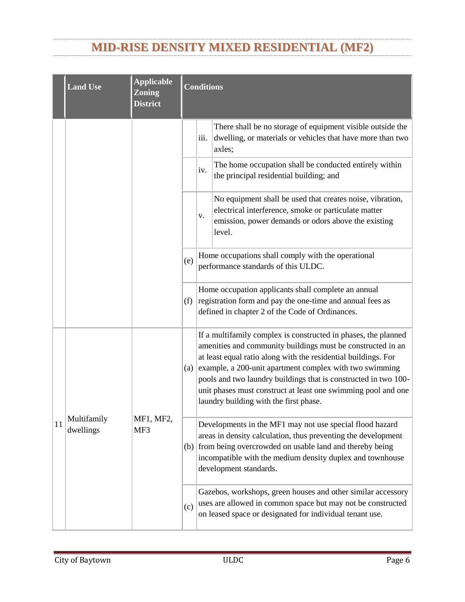|    | <b>Land Use</b>               | <b>Applicable</b><br><b>Zoning</b><br><b>District</b> | <b>Conditions</b>                                                                                                              |                                                                                                                                                                                                              |
|----|-------------------------------|-------------------------------------------------------|--------------------------------------------------------------------------------------------------------------------------------|--------------------------------------------------------------------------------------------------------------------------------------------------------------------------------------------------------------|
|    |                               |                                                       | (i)                                                                                                                            | Shared open space: each townhouse development shall have<br>common open space not on the lot with the unit, accessible to<br>all residents and not used for parking, storage, lift stations and<br>the like. |
|    |                               |                                                       | (i)                                                                                                                            | Density in the MF2 district shall not exceed 21 units per acre.                                                                                                                                              |
| 15 | Solar energy<br>systems       | All, where<br>permitted                               | Solar energy systems are allowed, so long as they do not reflect<br>light into the public right-of-way or adjacent properties. |                                                                                                                                                                                                              |
| 19 | Two-family<br>dwelling duplex | MF <sub>2</sub>                                       | Density shall not exceed 17 units per acre.                                                                                    |                                                                                                                                                                                                              |

# ARTICLE III. - DESIGN AND COMPATIBILITY STANDARDS

## DIVISION 1. - PROPERTY DEVELOPMENT STANDARDS

### <span id="page-8-1"></span><span id="page-8-0"></span>**Table 3-1. Property development standards.**

| <b>Zoning Category</b>                      | $\overline{\text{MF2}}$ |
|---------------------------------------------|-------------------------|
| Minimum lot size (square feet)              | See Th. 2-1             |
| Minimum front setback                       | 25                      |
| Minimum rear setback                        | 10                      |
| Minimum interior side setback               | 15                      |
| Minimum street side setback                 | 25                      |
| Maximum height (in feet)                    | 50                      |
| Percent maximum lot coverage                | 70                      |
| Minimum lot frontage required (linear feet) | 20                      |

### SEC. 3.01 - LOTS.

- <span id="page-8-2"></span>(a) *Previously platted lots.* No requirement of this section shall prevent the development of a legally platted lot approved by the planning and zoning commission prior to April 13, 2013, so long as the development meets all other applicable provisions of this ULDC.
- (b) *Area.* Each lot shall have a minimum area as set forth in table 3-1.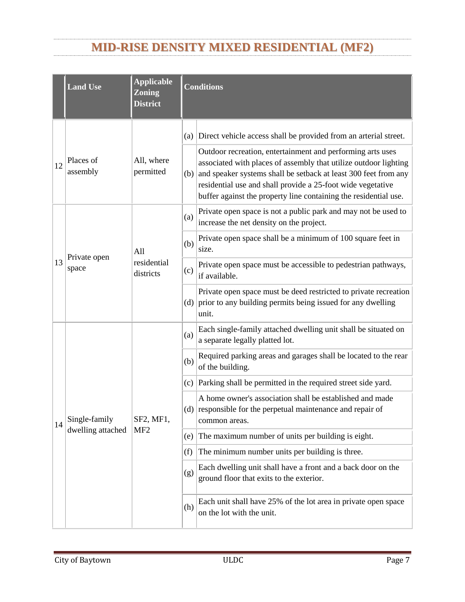- (c) *Required frontage.*
	- (1) Each lot shall have frontage on a dedicated public right-of-way on which a street is accepted and built to the city's engineering standards or on a private, platted street that is built to the city's engineering standards as set forth in table 3-1.
	- (2) Each lot shall have a minimum width no less than the lot's minimum frontage width as set forth in table 3-1.
	- (3) Radial lots shall have at least 20 feet of frontage.
- (d) *Layout.* Where lot lines intersect the right-of-way, the lot lines shall be at a 90-degree angle with the right-of-way.

```
SEC. 3.02 - SETBACKS.
```
<span id="page-9-0"></span>(a) Double frontage lots shall have setbacks that are at least equal to the required front or side yard setbacks of adjacent lots.



*Figure 3-1. Double Frontage Lots*

(b) Parking stalls and drive aisles shall be allowed within all setbacks. Drive aisles with ingress/egress access to a collector or arterial street shall not be located parallel to a street so that turning movements occur within 20 feet of the property line. There shall be no parking stalls located along the entrance driveway/apron to the drive aisle, which may interfere with stacking of vehicles upon entrance to the property.





*Examples of Allowable Configurations*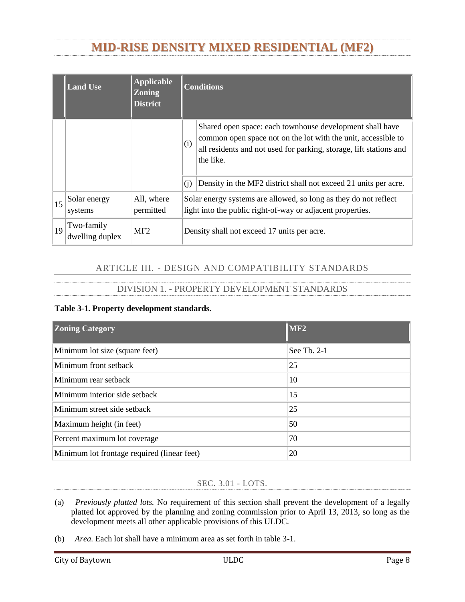

*Examples of Configurations that are Not Allowed*

- (c) The following features may be located within required setbacks so long as they are in conformance with the visibility triangle standards in section 122-3 of the Code of Ordinances:
	- (1) Trees, shrubbery or other features of natural growth;
	- (2) Fences or walls may be placed in the front, side or rear yard setbacks provided that they do not violate sight triangles and provided that fences in the front yard setback are non-opaque;
	- (3) Off-street parking areas and sidewalks;
	- (4) Signs, if permitted by chapter 118 of the Code of Ordinances;
	- (5) Bay windows, architectural design embellishments and cantilevered floor areas of buildings that do not project more than two feet into the required setback;
	- (6) Eaves that do not project more than two feet into the required setback;
	- (7) Open outside stairways, entrance hoods, terraces, canopies, carports and balconies that do not project more than five feet into a required front or rear setback or more than two feet into a required side setback;
	- (8) Chimneys, flues and ventilating ducts that do not project more than two feet into a required setback and when placed so as not to obstruct light and ventilation;
	- (9) Open, unenclosed porches that do not project more than five feet into a required front or rear setback or more than two feet into a required side setback;
	- (10) Utility lines, wires and associated structures, such as power poles; and
	- (11) Mechanical equipment, such as air conditioning units, pool filtering and heating equipment, water softeners and similar equipment, if the equipment does not restrict pedestrian access through such setbacks and if it is totally screened from view from abutting property and rightsof-way by fences, walls or landscaping.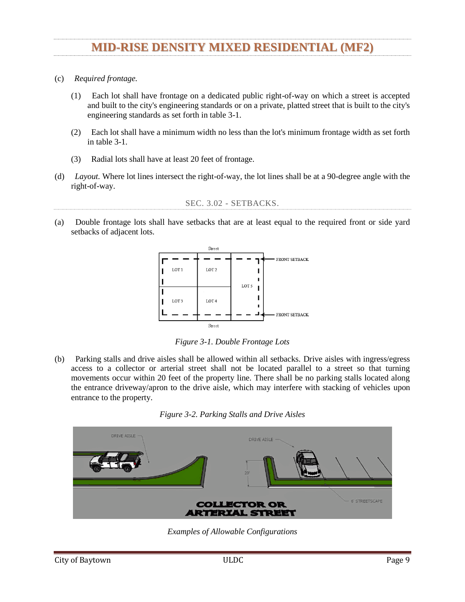#### SEC. 3.03 - HEIGHT.

- <span id="page-11-0"></span>(a) *Buildings.* Each zoning district shall have a maximum building height as specified in table 3-1.
	- (1) Building height shall be measured as the vertical distance between the average finished grade at the base of the building and the mean height of the roof. The mean height of the roof is determined by averaging the highest and lowest points of the roof.
	- (2) For fences or walls, height shall be measured on the side with the least vertical exposure above the finished grade to the top of the fence or wall.
	- (3) Buildings in the heavy industrial (HI) zoning district have a maximum height of 60 feet unless the entire building is equipped with a National Fire Protection Association ("NFPA") 13 fire sprinkler system, then the maximum height shall be 75 feet.
- (b) *Exemptions.* The following structures and features shall be exempt from the height requirements of this ULDC to the extent indicated:
	- (1) Chimneys;
	- (2) Cupolas, widow walks;
	- (3) Utility poles and support structures;
	- (4) Cooling towers and ventilators;
	- (5) Municipal or other state or county government utility infrastructure; and
	- (6) Spires and church steeples.

#### DIVISION 2. - OPERATIONAL PERFORMANCE STANDARDS

#### SEC. 3.08 - STANDARDS.

<span id="page-11-1"></span>Under this division, the following standards shall apply:

- (a) *Noise.* Sites shall be laid out and uses shall be operated to prevent noise from becoming a nuisance to adjacent single-family and duplex uses;
- (b) *Vibration.* All uses shall be operated so that ground vibration is not perceptible outside the lot lines of the site on which the use is located;
- (c) *Fire and explosive hazards.* Underground storage tanks for flammable liquids and gasses shall be located at least 50 feet from the lot line of lots that contain a single-family or duplex use; aboveground tanks shall be set back at least 100 feet from such lot lines, unless the board of adjustment determines, based on information provided by the applicant, that a 50-foot setback will ensure compliance with all applicable state standards. The storage tank setback requirements of this subsection shall not apply to tanks that are necessary to single-family or duplex units; and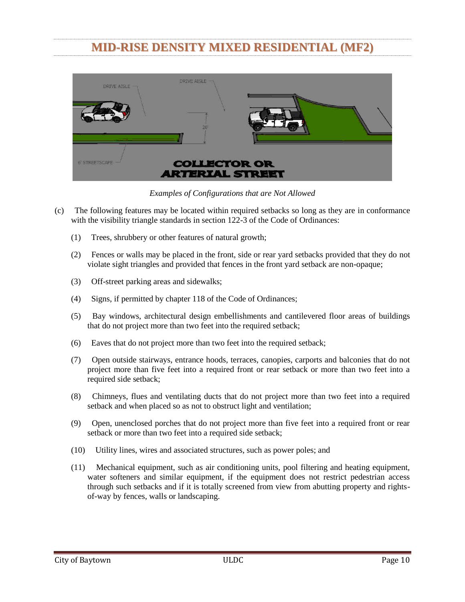- (d) *Light and glare.* The following operational performance standards shall apply:
	- (1) All exterior lighting shall be hooded or otherwise shielded so that the light source is not directly visible from property that contains a single-family or duplex;
	- (2) All lighting shall be shielded so that substantially all emitted light falls within the property line of the property from which the light emanates;
	- (3) All exterior building floodlights shall be shielded so that all emitted light falls upon the property from which the light emanates;
	- (4) No illumination shall produce direct, incident or reflected light that interferes with the safe movement of motor vehicles on public streets. The types of lighting that shall be prohibited by this subsection shall include but not be limited to any light that may be confused with or construed as a traffic control device and any animated, flashing or changing intensity lights, except for temporary holiday displays; and
	- (5) Electromagnetic interference. No operations or activities shall be conducted that cause electrical disturbances to be transmitted across lot lines.
- (e) *Screening.* Non-residential and multifamily residential development, including off-street parking areas associated with such developments, shall be screened from view of adjacent single-family or duplex use and any property zoned SFE, SF1, SF2, or OR. Such visual screening shall be accomplished through the use of opaque fence meeting the requirements of division 2 of article X of chapter 18, pertaining to buffer fencing, along the lot line that is adjacent to the single-family or duplex use or property zoned SFE, SF1, SF2 or OR. Mechanical equipment, outdoor storage areas and refuse collection areas shall be completely shielded from view of adjacent single-family or duplex uses, scenic corridors or property zoned SFE, SF1, SF2 or OR by an opaque fence or wall made of material specified in division 2 of article XII of chapter 18 that is at least one foot taller than the site feature being screened from view, provided this shall not be interpreted as requiring screening, fences, or walls to be taller than ten feet. Fences, walls and buffers must comply with all other requirements of the ULDC.

<span id="page-12-0"></span>

| DIVISION 4. - RESIDENTIAL ZONES                           |
|-----------------------------------------------------------|
| SEC. 3.11 - APPLICABILITY, LOTS UNDER 43,560 SQUARE FEET. |

<span id="page-12-1"></span>Any building on a lot smaller than 43,560 square feet, with the exception of manufactured housing, or a building containing two or more dwelling units shall comply with the masonry, architectural and site design standards listed in this section.

- (a) *Masonry.* Buildings in subdivisions platted after April 13, 2013, shall have all exterior walls constructed using masonry materials covering at least 60 percent of said walls, exclusive of doors and windows.
	- (1) A combination of at least three materials shall be used, two of which shall be masonry.
	- (2) Materials shall be used consistently on the same building plane. The minimum offset to establish a new building plane is six inches.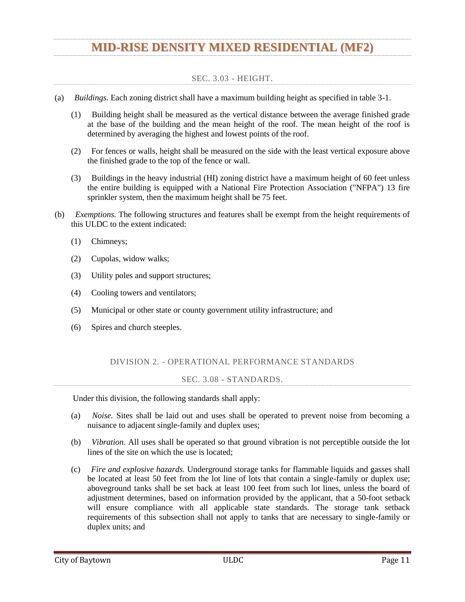(b) *Architectural.* New residential dwellings shall be constructed using at least two of the following design features to provide visual relief along the front of the residence as depicted in figure 3-3: 1) dormers; 2) gables; 3) recessed entries with a three-foot minimum; 4) covered front porches; 5) cupolas; 6) pillars or posts; 7) bay windows with a 24-inch minimum projection; or 8) other equivalent design feature approved by the director.



*Figure 3-3. Style Elements*

- (1) Front facing windows shall be provided with trim or shall be recessed. The windows shall not be flush with exterior wall treatment and shall be provided with an architectural surround at the jamb.
- (2) Roofs shall have a minimum pitch of 12:4. Mansard roofs shall be allowed.
- (c) *Site design.*
	- (1) Sidewalks in conformance with chapter 122 of the Code of Ordinances shall be installed from property line to property line at the expense of the property owner in all adjacent rights-of-way prior to the issuance of a certificate of occupancy for a new residential building.
	- (2) Entrances to attached garages shall have a 25-foot setback from the front property line and shall not exceed 35 feet in width or occupy more than 40 percent of the total building frontage, whichever is greater. The 25-foot setback does not apply to attached side entry garages.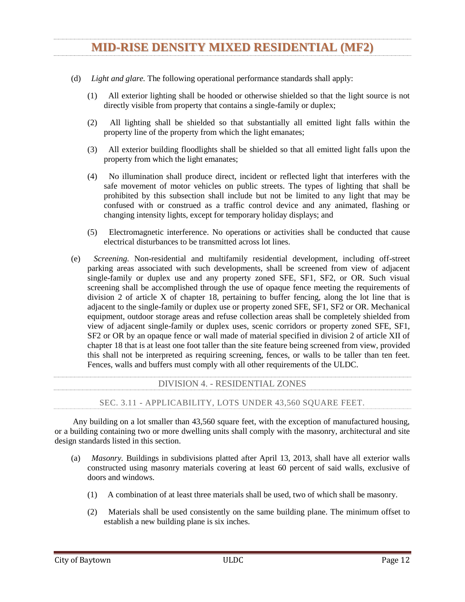

*Figure 3-4. Garage Setback Options*

(3) Mechanical equipment shall not be located in the front yard. Mechanical equipment may be allowed in the street side yard setback if screened from view of the public right-of-way.

SEC. 3.115 – RESIDENTIAL ACCESSORY STRUCTURES

- <span id="page-14-0"></span>(a) For tract of land two (2) acres or smaller:
	- (1) The sum of all barns and stables shall not exceed the gross square footage of the primary structure on the same lot; and
	- (2) The sum of all other residential accessory structures shall not exceed 75% of the gross square footage of the primary structure on the same lot.
- (b) For tracts of land larger than two (2) acres:
	- (1) The sum of all barns and stables may exceed the gross square footage of the primary structure on the same lot; and
	- (2) The sum of all other residential accessory structures shall not exceed the gross square footage of the primary structure on the same lot.

SEC. 3.12 - APPLICABILITY, BUILDINGS WITH MULTIPLE UNITS.

<span id="page-14-1"></span>Any residential building designed for multiple units, including duplex or two-family either for rental or condo ownership shall comply with the masonry, architectural and site design standards listed in this section.

- (a) *Masonry.*
	- (1) Sixty percent of the total exterior wall area of the first floor of each building elevation shall be constructed of masonry materials, excluding doors and windows.
	- (2) Thirty percent of the total exterior wall area of the each floor above the first floor of each building elevation shall be constructed of masonry materials, excluding doors and windows.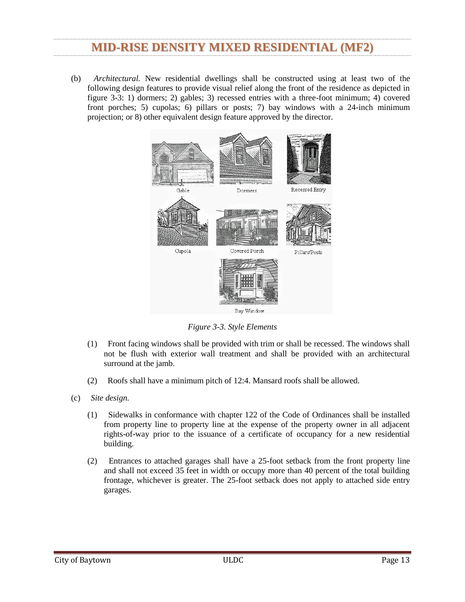- (b) *Architectural.*
	- (1) *Building articulation.*
		- a. Building frontages greater than 75 feet in length shall have recessed places, projections, windows, arcades or other distinctive features to interrupt the length of the building facade.
		- b. Front and street sides of buildings visible from the public right-of-way shall include changes in relief such as columns, cornices, bases, fenestration, and fluted masonry, for at least 15 percent of all exterior wall area.
	- (2) *Stairwells.* Open, unenclosed stairwells shall not be allowed along any facade facing a public street or private street system.
	- (3) *False door or window openings.* Use of false door or window opening shall be defined by frames, sills and lintels.
- (c) *Site design.*
	- (1) Parking areas designed to serve multi-unit dwellings shall not be located between residential buildings and the street or drive isle system.
	- (2) Sidewalks in conformance with chapter 122 of the Code of Ordinances shall be installed from property line to property line at the expense of the property owner in all adjacent rights-of-way prior to the issuance of a certificate of occupancy for a new multi-unit dwelling.
	- (3) *Building orientation:*
		- a. Building(s) located on parcels that are adjacent to SFE, SF1 SF2, or MF1 zones shall have a maximum height of 40 feet or shall be constructed in conformance with the requirements of the 35-degree angle residential proximity slope as depicted in figure 3-5.



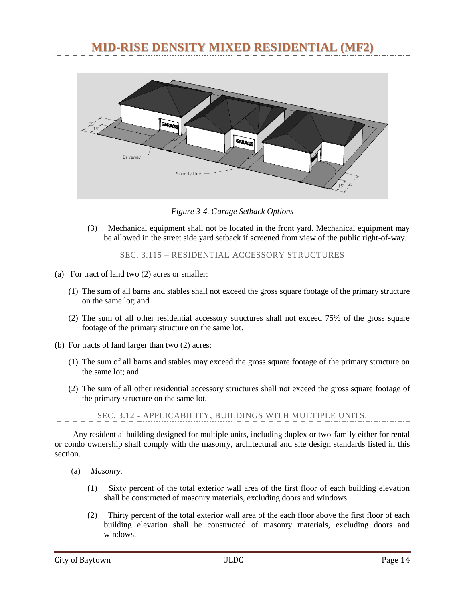- b. Building(s) located on parcels that are adjacent to SFE, SF1 SF2, or MF1 zones shall have a 15-foot building setback and shall provide opaque screening. Parking, dumpsters, and mechanical equipment shall not be allowed within the setback.
- c. Buildings shall front on public streets and/or private street systems.
- (4) Developments shall provide a private driving aisle system consisting of limited access driveways. At least one side of the private driving aisle system shall include sidewalks at least five-foot wide and a planting strip between the driveway and sidewalk at least fivefoot wide that includes street trees 30-foot on center. The private street system shall provide vehicular and pedestrian access to all parking areas and on site amenities and must connect to the public sidewalk system in the public right-of-way.
- (5) *Recreation space:*
	- a. Each development shall provide at least 100 square feet of outdoor recreation space per dwelling unit that is intended to serve the entire development. Open space in the required setbacks can not be counted.
	- b. Outdoor recreation space shall be turf area at least 3,000 square foot in size with maximum slopes of three percent.
	- c. One perimeter shade tree is required for each 1,000 square foot of outdoor recreation space.

### DIVISION 5. - DISTRICT COMPATIBILITY STANDARDS

### SEC. 3.14 - COMPATIBILITY STANDARDS.

<span id="page-16-1"></span><span id="page-16-0"></span>The following additional standards are applicable to property that is located at the boundary of two or more zoning districts. The following standards are also applicable to the portion of the LI or HI boundary that is within 300 feet of the referenced zoning district. The more intense new non-residential or multifamily use shall implement the applicable compatibility standards before a certificate of occupancy or completion will be issued.

(b) *Mid-rise density mixed residential dwellings (MF2).* New development that is zoned MF2 and located adjacent to a property zoned, UN, SFE, SF1, SF2, or MF1 shall meet all requirements of the property development standards table in article three, division 1 of the ULDC, install a minimum of a six-foot-tall opaque screen, and provide a minimum of a 20-foot open space between any property zoned OR, UN, SFE, SF1, SF2, or MF1. Any building over 40 feet in height also shall comply with the residential proximity slope in subsection  $3.12(c)(3)$  of the ULDC.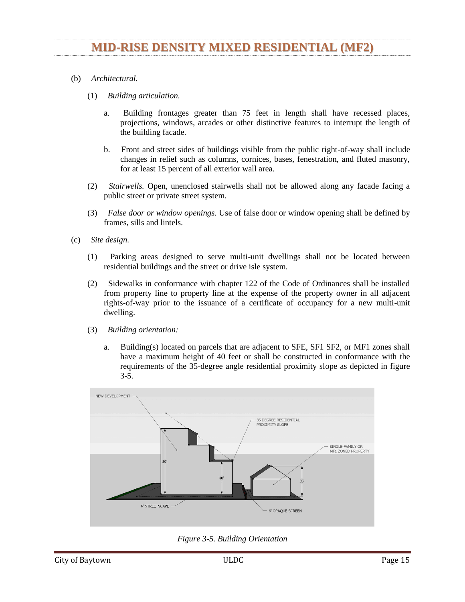# CHAPTER 112 – OFF-STREET PARKING

### SEC. 112-4. - MINIMUM REQUIREMENTS FOR SPACES.

- <span id="page-17-2"></span><span id="page-17-1"></span><span id="page-17-0"></span>(a) *Minimum number of parking spaces.* There shall be provided, at such time as a building permit is issued for the erection, alteration or use change of a structure, off-street parking spaces in accordance with the following minimum requirements:
	- (1) Bowling alley: Five parking spaces for each lane;
	- (2) Business or professional office, studio, bank, medical or dental clinic: Three parking spaces plus one additional parking space for each 200 square feet of floor area over 500;
	- (3) Church, theater, auditorium (except school), sports arena, stadium or gymnasium: One parking space for each four seats or bench seating spaces;
	- (4) Community recreation center, library, museum or art gallery: Ten parking spaces plus one additional space for each 300 square feet of floor area in excess of 2,000 square feet. If an auditorium is included as a part of the building, its floor area shall be deducted from the total and additional parking provided on the basis of one space for each four seats that it contains;
	- (5) Dancehall, assembly or exhibition hall without fixed seats: One parking space for each 100 square feet of floor area used thereof;
	- (6) Fraternity, sorority or dormitory: One parking space for each three beds;
	- (7) Furniture or appliance store, hardware store, wholesale establishment, machinery or equipment sales and service, clothing or shoe repair or service shop: Two parking spaces plus one additional parking space for each 300 square feet of floor area over 1,000;
	- (8) Hospital: Four parking spaces plus one additional parking space for each four beds;
	- (9) Hotel: One parking space for each sleeping room or suite plus one parking space for each 400 square feet of commercial floor area contained therein;
	- (10) Industrial plant: The number of parking spaces required to accommodate all plant employees and construction forces on any single shift;
	- (11) Mortuary or funeral home: One parking space for each 50 square feet of floor space in slumber rooms, parlors or individual funeral service rooms;
	- (12) Motor vehicle sales room or car lot: One parking space for each 500 square feet of sales floor area with a minimum of three parking spaces;
	- (13) Private club, lodge, country club or golf club: One parking space for each 150 square feet of floor area for every five members, whichever is greater;
	- (14) Restaurant, nightclub, cafe or similar recreation or amusement establishment: One parking space for each 100 square feet of floor area;
	- (15) Retail store or personal service establishment, except as otherwise specified in this section: One parking space for each 200 square feet of retail sales or floor area;
	- (16) Roominghouse or boardinghouse: One parking space for each sleeping room;
	- (17) Sanitarium, convalescent home, home for the aged or similar institution: One parking space for each six beds;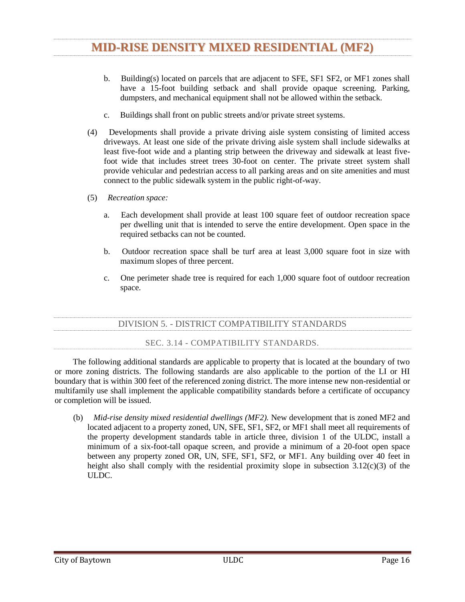- (18) School, elementary: One parking space for each ten seats in the auditorium or main assembly room or one space for each classroom, whichever is greater;
- (19) School, secondary, and college: One parking space for each eight seats in the main auditorium or three spaces for each classroom, whichever is greater;
- (20) Tourist home, cabin or motel: One parking space for each sleeping room or suite;
- (21) Townhouse and two-family dwellings: 2¼ spaces per dwelling unit.
- (22) Multi-family dwellings (three or more dwelling units):

| Minimum<br>Parking<br><b>Spaces</b> | Unit Size                                                                                   |
|-------------------------------------|---------------------------------------------------------------------------------------------|
| 1.0                                 | each one bedroom or efficiency up to 500 square feet in size                                |
| 1.5                                 | each one bedroom apartment 500 square feet or greater in size or with two or more bathrooms |
| 1.75                                | each two bedroom apartment regardless of size                                               |
| 2.0                                 | each three bedroom regardless of size                                                       |
| 3.0                                 | each apartment greater than three bedrooms                                                  |

(23) Vehicle or boat repair business, including, but not limited to those defined in section 102-136 and automobile repair, major and minor as defined in the Unified Land Development Code: One space for each service bay, plus one space for every 300 square feet of building floor area.

- (b) *Additional parking spaces for guests.* In addition to the minimum number of parking spaces provided for in subsection (a) of this section, there shall be provided, at such time as a building permit is issued for the erection, alteration or use change of a structure, additional off-street parking spaces in accordance with the following minimum requirements:
	- (1) *Number.*
		- a. Townhouses: Ten percent of the number parking of spaces required in subsection (a)(21).
		- b. Two-family dwellings: Ten percent of the number of parking spaces required in subsection  $(a)(21)$ .
		- c. Multifamily dwellings: Ten percent of the number of parking spaces required in subsection  $(a)(22)$ .
	- (2) *Location.*
		- a. All dwelling units of a townhouse, two-family dwelling or multifamily dwelling must have at least one parking space as required in subsection (b)(1) within 300 feet measured by the walking distance on sidewalks or along the street or driveway from the parking space to the nearest entrance to the dwelling unit.
		- b. all parking required by this subsection (b) must be on the same site as the townhouse, twofamily dwelling or multifamily dwelling.
- (c) *Bicycle parking.* One bicycle rack (to accommodate three or more bicycles) per residential building and at the community facilities shall be installed and maintained. The bike rack shall be located not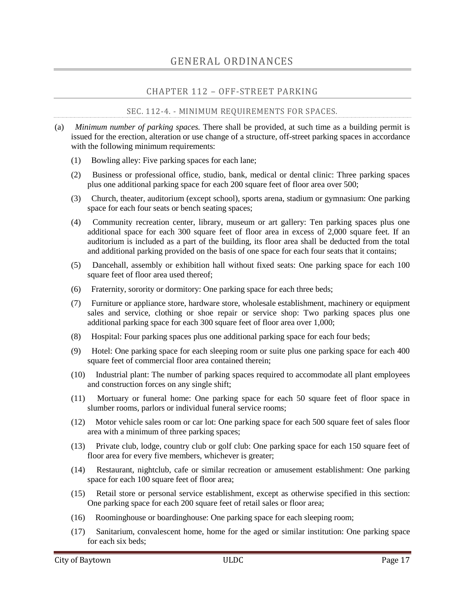in a sidewalk and not in a required parking space but shall be located so as to provide the ability of the bike user to walk on a sidewalk or along with street to access the bicycle rack.

(d) *Sidewalks from parking spaces.* Sidewalks connecting all parking areas to residential and to community buildings shall be provided and maintained. Where the sidewalks cross driving aisles (driveways) crosswalks and/or alternate paving materials shall be installed.

SEC. 112-5. - RULES FOR COMPUTING NUMBER OF SPACES.

<span id="page-19-0"></span>In computing the number of parking spaces required for each of the uses listed in section 112-4, the following rules shall govern:

- (1) Floor area shall mean the foundation area of the specified use. For a multistory building, each story shall be considered a separate foundation area, so that the total floor area of such building shall include the area of all floors added together;
- (2) Where fractional spaces result, the parking spaces required shall be construed to be the nearest whole number;
- (3) The parking space requirement for a use not specifically mentioned in this chapter shall be the same as required for a use of a similar nature; and
- (4) For mixed uses, the parking spaces required shall equal the sum of the requirements of the various uses computed separately.

SEC. 112-6. - CONSTRUCTION OR USE CHANGES.

<span id="page-19-1"></span>Whenever a building or use is constructed or changed after the effective date of the ordinance from which this chapter derives by enlarging the floor area, number of employees, number of dwelling units, seating capacity or otherwise, to create a requirement for an increase in the number of parking spaces, such spaces shall be provided on the basis of the enlargement or the change in use.

## SEC. 112-7. - LOCATION OF SPACES.

<span id="page-19-2"></span>All parking spaces required in this chapter shall be located on the same lot with the building or use served, except as follows:

- (1) Where an increase in the number of spaces is required by a change or enlargement of the use or where such spaces are provided collectively or used jointly by two or more buildings or establishments, the required spaces may be located not to exceed 300 feet from an institutional building served and not to exceed 500 feet from any other nonresidential building served;
- (2) No more than 50 percent of the parking spaces required for theaters, bowling lanes, dancehalls, nightclubs or cafes may be provided and used jointly by similar uses not normally open, used or operated during the same hours as those listed; provided, however, that written agreement thereto is properly executed and filed as specified in subsection (4) of this section;
- (3) Not more than 80 percent of the parking spaces required for a church or school auditorium may be provided and used jointly by similar uses not normally open, used or operated during the same hours as those listed; provided, however, that written agreement thereto is properly executed and filed as specified in subsection (4) of this section; and
- (4) When the required parking spaces are not located on the same lot with the building or use served or when such spaces are collectively or jointly provided and used, a written agreement thereby assuring their intention for such purposes shall be properly drawn and executed by the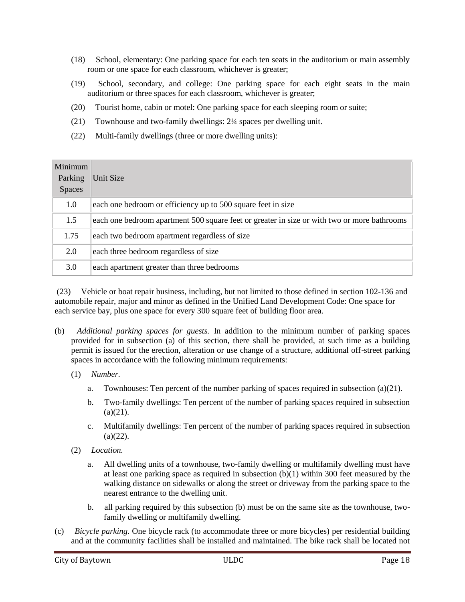parties concerned, approved as to form by the city attorney, and shall be filed with the application for a building permit.

#### SEC. 112-8. - MINIMUM DIMENSIONS.

<span id="page-20-0"></span>The minimum dimensions for off-street parking spaces required under this chapter shall be as follows:

- (1) *Ninety-degree angle parking.* Each parking space shall be not less than nine feet wide or less than 18 feet in length. Maneuvering space shall be in addition to parking space and shall be not less than 23 feet perpendicular in width;
- (2) *Sixty-degree angle parking.* Each parking space shall be not less than nine feet wide perpendicular to the parking angle or less than 17 feet in length when measured at the appropriate angles. Maneuvering space shall be in addition to parking space and shall be not less than 20 feet in width;
- (3) *Forty-five-degree angle parking.* Each parking space shall be not less than nine feet wide perpendicular to the parking angle or less than 19 feet in length when measured at the appropriate angles. Maneuvering space shall be in addition to parking space and shall be not less than 11 feet in width; and
- (4) *Other.* Where off-street parking facilities are provided in excess of the minimum amounts specified in this chapter or when off-street parking facilities are provided but not required by this chapter, the off-street parking facilities shall comply with the minimum dimensions for parking and maneuvering space specified in this section.

### SEC. 112-9. - DESIGN STANDARDS.

<span id="page-20-1"></span>Geometric design standards for driveways and off-street parking stalls are set forth in appendix 1 to this chapter, which is on file in the offices of the city clerk and chief building official. Curb cuts shall conform to standards established in the engineering department. Permits for all curb cuts will be issued by the chief building official.

### SEC. 112-10. - MAINTENANCE OF OFF-STREET PARKING AREAS.

<span id="page-20-2"></span>Parking spaces and pedestrian walkways must be clearly delineated and parking spaces must meet the minimum dimensions specified in section 112-8. Parking spaces must be clearly marked with appropriate striping if on a paved surface or appropriate marking if on an unpaved surface. All improved parking surfaces and walkways shall be maintained in a good and safe condition; and free of any defects affecting the use, safety, appearance or drainage of the surface or of the adjoining property.

### SEC. 112-11. - VEHICLE STORAGE AREAS.

- <span id="page-20-3"></span>(a) Any motor vehicle sales, car lot, or vehicle or boat repair business, whose customers leave their motor vehicles for repair or service, shall designate a vehicle storage area separate from the required customer parking area for all non-operational vehicles to be serviced. Spaces within the vehicle storage area shall not count towards meeting the minimum required number of customer parking spaces specified in section 112-4, nor shall they block access to the building, driveways, sidewalks, or hinder proper vehicular circulation within the lot.
- (b) Each vehicle storage area shall: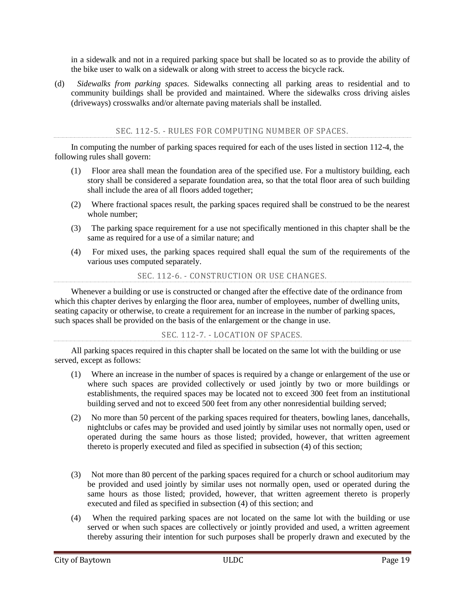- (1) Meet the off-street parking minimum dimensions and design standards in this chapter; or
- (2) Be:
	- a. Enclosed by a six-foot-high, opaque fence consisting of the materials specified in section 18-1011;
	- b. Located behind the building line of the building; and
	- c. Designed so that the vehicles stored within are not visible from any public right-of-way in any manner.
- (c) Any vehicle serviced or waiting to be serviced must be stored in the vehicle storage area when not being actively repaired.

- SEC. 18-93. SIDEWALKS.
- <span id="page-21-0"></span>(a) *Definitions.* The following words, terms and phrases, when used in this section, shall have the meanings ascribed to them in this subsection, except where the context clearly indicates a different meaning:

*Construction* means the building or placement of any structure requiring a permit from the city.

*Impervious surface* means any type of improvement to real property that will prevent water from passing through to the soil below.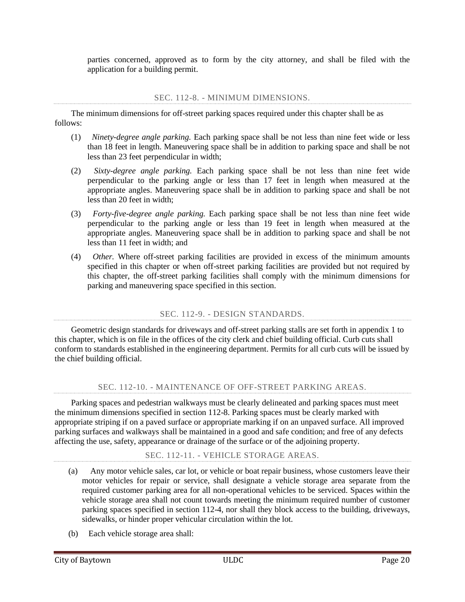*Primary non-residential structure* means the main structure on a lot or parcel that is anything other than a primary residential structure.

*Primary residential structure* means the main dwelling unit on a lot or parcel that is:

- (1) A detached one- or two-family dwelling; or
- (2) A townhome not more than three stories above grade plane in height, with separate means of egress, and open to a public right-of-way or yard on at least two sides.

*Sidewalk* means a paved path for the use of pedestrians constructed:

- (1) In the right-of-way between the curb lines or the edge of pavement of a roadway and the adjacent property lines; or
- (2) In an easement on private property dedicated to the city or the public for which a sidewalk is permitted to be built.
- (b) *Required.* Except as provided in subsection (c) of this section, sidewalks conforming to the requirements of chapter 122 of this Code shall be constructed when a permit is issued for any of the following:
	- (1) Construction of a primary residential structure in a subdivision platted after July 26, 2012;
	- (2) Construction of a primary non-residential structure within any zoning district with the exception of a LI or HI zoning district; or
	- (3) Construction on a primary non-residential structure or the parking area serving a primary nonresidential structure that would result in either:
		- a. A 30-percent aggregate increase in the existing gross area of impervious surface on the property in any zoning district with the exception of the HI zoning district; or
		- b. Five thousand square feet of new impervious surface area, on the property in any zoning district with the exception of LI or HI zoning district.
- (c) *Exempt.* Construction of sidewalks shall not be required:
	- (1) On a property where a primary residential structure in a residential zoning district, as determined by the ULDC, is being constructed but there is not enough space within the right-ofway to construct a sidewalk as determined by the director of engineering;
	- (2) When a residential lot is platted after July 26, 2012, in an existing residential area where less than 80 percent of the existing homes have sidewalks;
	- (3) On property where a governmental agency prohibits the construction of sidewalks and the applicant has provided to the chief building official current documentation to this effect from the governmental agency; or
	- (4) When, in the opinion of the chief building official, the installation of sidewalks would not be feasible due to planned public improvements and the owner or developer, in lieu of constructing a sidewalk, pays at the time of the issuance of a building permit a fee. Such fee shall be in an amount equal to the cost of the construction of the sidewalk per square foot based upon the competitively bid prices obtained by the city for its annual concrete work contract.
- (d) *Appeals.* Appeals from a decision of the chief building official shall be made in accordance with section 18-58.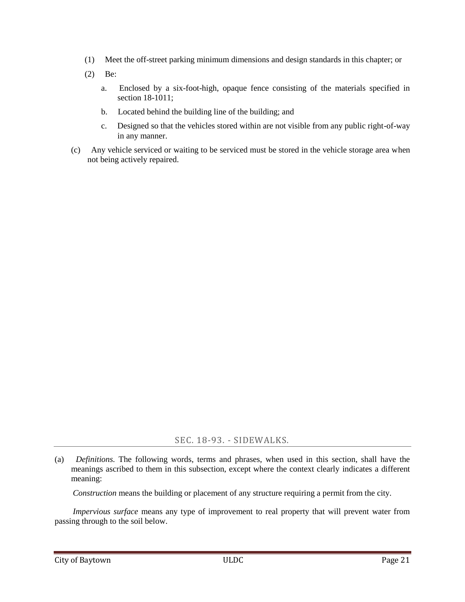- (e) *Violation.* It shall be unlawful for any person to willfully or maliciously tear up, injure, deface or destroy any sidewalk, or any portion thereof.
- (f) *Enforcement.*
	- (1) Any violation of this article shall constitute a misdemeanor punishable, upon conviction, by a fine as provided in section 1-14.
	- (2) In addition to enforcement action taken pursuant to subsection  $(f)(1)$ , certificates of occupancy and certificates of completion shall be withheld until repairs required in subsection (d) of this section have been made and approved by the chief building official.

## ARTICLE XIV. - LANDSCAPING

#### SEC. 18-1201. - GENERAL REGULATIONS.

- <span id="page-23-1"></span><span id="page-23-0"></span>(a) *Title.* This article shall be known and may be referred to as the "Landscaping Ordinance of the City of Baytown" or simply as the "Landscaping Ordinance."
- (b) *Purpose.* This article is adopted for the purpose of promoting the public health, safety and general welfare of the citizens of the city and is intended to achieve one or more of the following:
	- (1) To create an aesthetically pleasing environment that improves the quality of life for citizens;
	- (2) To enhance property values and to protect public and private investment;
	- (3) To promote the beautification of the city;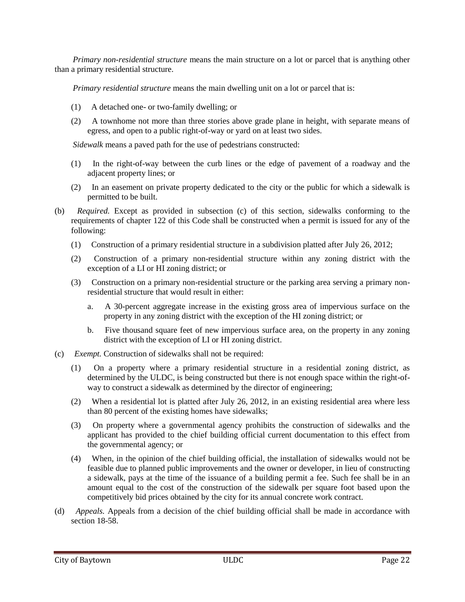- (4) To provide adequate light and air space;
- (5) To prevent overcrowding of land;
- (6) To ensure that the local stock of trees and vegetation is replenished; and/or
- (7) To stabilize the environment's ecological balance by contributing to the processes of air purification, oxygen regeneration, ground water recharge, stormwater runoff, and soil erosion retardation, while at the same time aiding in noise, glare and heat abatement.
- (c) *Applicability.* The provisions of this article shall apply to all nonresidential developments, as that term is defined in section 18-1202, within the city, unless specifically provided otherwise in this article.
	- (1) The landscaping provisions contained in this article shall become applicable to each individual nonresidential lot at the time an application for a new commercial permit is made. When remodeling, redevelopment or reconstruction is proposed on nonresidential property that would result in an expansion of gross floor area, parking lot area, or vehicular surface area, the following provisions apply:
		- a. When remodeling, redevelopment or reconstruction is proposed on nonresidential property that would expand existing gross floor area of the lot's structure or structures by less than 50 percent, only the portion of the site where the expansion is located is subject to the provisions of this article.
		- b. When remodeling, redevelopment, reconstruction or expansion is proposed on nonresidential property that would expand existing gross floor area of the lot's structure or structures by 50 percent or more, the entire property must comply with the provisions of this article. The removal of any portion of an existing building is not required for compliance with this subsection  $(c)(1)b$ .
		- c. If within a three-year period the impervious surface area of a nonresidential development is increased by 25 percent or more or if within a three-year period 25 percent or more of the impervious surface area of a nonresidential development is reconstructed, the requirements of section 18-1206 shall be applied only to the area where the expansion or reconstruction occurs. This provision shall apply only when such expansion or reconstruction is not a part of a structural remodeling, redevelopment or reconstruction project.
	- (2) All landscaping requirements under this article shall run with the land and shall apply against any owner or subsequent owner.
	- (3) Each phase of a phased project shall comply with the requirements of this article. If the nonresidential development is to be construed in phases, phase lines shall be drawn 20 feet or more from developed site elements (parking, buildings, ponds, etc.). The portion of the land remaining for subsequent phases shall be no less than three-fourths of an acre.
	- (4) This article shall have no application to nonresidential developments with parking lots of less than 5,000 square feet.
- (d) *Inconsistent provisions and conflict with other regulations.* In the event that any provision of this article is inconsistent or in conflict with any other provision of this article or any other ordinance or regulation of the city, the more stringent provision shall control, unless otherwise specifically stated.
- (e) *Transitional provisions.*
	- (1) *Building permits.* Except as specifically provided in this article, the provisions of this article shall not affect any valid building permit issued or any valid building permit application filed prior to August 2, 1998, provided that construction pursuant to such permit, is commenced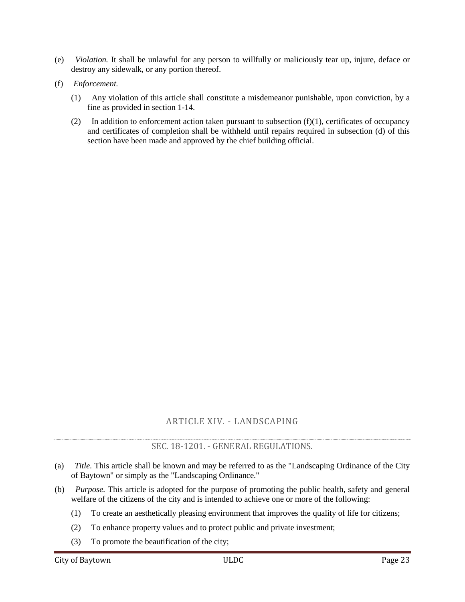within six months of the date of issuance of the permit and diligently pursued, as determined by the chief building official, to completion in accordance with the applicable regulations of the city.

(2) *Subdivision plats.* Except as specifically provided in this article, the provisions of this article shall not affect any preliminary plat or final plat approved pursuant to the regulations of chapter

<span id="page-25-0"></span>126.

For the purpose of interpreting and administrating the provisions of this article, the words defined in this section shall be given the meanings set forth below. All other words shall be given their common, ordinary meanings, as the context may reasonably suggest.

*Caliper* means the diameter of a tree at 18 inches above ground level.

*Commission* means the city's planning and zoning commission as presently constituted, or any successor commission.

*Developed land* means that portion of real property which has been altered from its natural landscape by the construction or reconstruction of any structure, parking lot, or other improvement.

*Director* means the director of planning and development services.

*Duplex* dwelling use means the use of a lot for two dwelling units within a single building or structure.

*Dwelling unit* means a building or portion of a building that is arranged, occupied or intended to be occupied as a residence and includes facilities for sleeping, cooking and sanitation.

*Evergreen tree* means a tree that retains some or all of its leaves throughout the year, which can be used for the purposes of providing a visual screen.

*Existing tree* means a tree which is located on the property prior to a new construction permit being issued by the city.

*Groundcover* means a spreading plant including sods and grasses less than 18 inches in height that may be used for erosion control.

*Impervious surface* area means any surface area that prevents infiltration of water into the soil. Impervious surface may include, but not be limited to, those surfaces covered by asphalt, concrete, crushed stone, clay, bedrock, limestone and compacted soil.

*Landscape reserve* means undeveloped property which is left in its natural state and is of sufficient size for the growth of plants and trees.

*Large tree* means a tree, under normal growth conditions, that reaches a mature height at or above 40 feet. A tree that, at the time of planting, is at least 12 feet tall above grade and has a minimum caliper of three inches.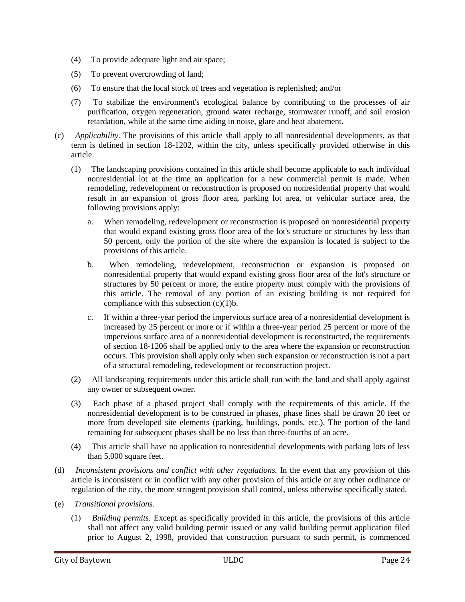*Mulch* means various substances that are placed around plants to prevent evaporation, to control weeds and to control soil erosion. Mulch material includes, but is not limited to, organic substances and various forms and sizes of natural rocks.

*Multi-family dwelling* means the use of a lot for three or more dwelling units within a single building.

*New commercial permit* means a building permit required for the construction and/or development of all new nonresidential developments. Nonresidential means any use other than single-family or duplex dwelling use, and expressly includes, but is not limited to, uses associated with multi-family dwellings, manufactured home parks, mobile home parks, RV parks and commercial developments within the city.

*Parking space* means a space used for parking a motor vehicle and satisfying all of the applicable requirements for off-street parking contained in chapter 112.

*Shade tree* means any self-supporting woody plant with one well-defined trunk and a distinct definite formed crown.

*Shrub* means a woody perennial plant differing from a perennial herb by its more woody stem and from a tree by its low stature and habit of branching from the base.

*Single-family dwelling use* means the use of a lot for one dwelling unit.

*Small tree* means a type of tree that, under normal growth conditions, that reaches a mature height between 20 and 40 feet. A tree that, at the time of planting, is at least six feet tall above grade and has a minimum caliper of two inches.

*Streetscape* means the landscaping along the property adjacent to the street rights-of-way as required to be landscaped pursuant to this article.

*Tree* means any self-supporting woody plant with one well-defined trunk two inches in diameter or greater.

SEC. 18-1203. - ELIGIBLE TREES, SHRUBS, AND GROUNDCOVER.

<span id="page-26-0"></span>All forms of landscaping are suitable including flowers, ground cover, shrubs, trees and the various forms and sizes of mulch. Unless expressly stated otherwise, all trees shall be a minimum of five feet in height immediate upon planning and have a minimum 1½-inch caliper. All shrubs must be a minimum size of one gallon and be a minimum of 1½ feet in height when planted. Plant height shall be measured from average grade after planting.

SEC. 18-1204. - LANDSCAPE PLAN REQUIREMENTS.

<span id="page-26-1"></span>When a new commercial permit is required, the owner shall provide the director as part of his construction documents a landscape plan containing the following information:

- (1) The location of existing boundary lines and dimensions of the tract and the square footage of the total off-street parking area;
- (2) The location of existing and proposed utility easements on or adjacent to the lot and the location of overhead power lines and any underground utilities;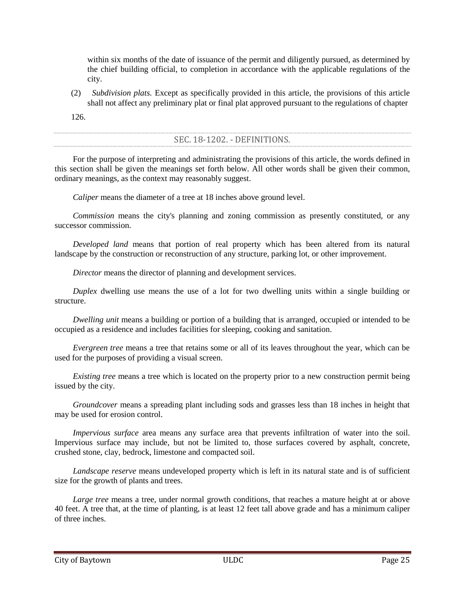- (3) A description of adjacent land uses, existing developments and roadways;
- (4) The location, size and type of proposed landscaping in areas to be landscaped and the size of proposed landscaped area;
- (5) The location, species and diameter of existing trees having a caliper of  $1\frac{1}{2}$  inches or larger. Landscape reserves with numerous trees may be outlined with a description of existing trees to be preserved; and
- (6) All other information necessary for verifying that the minimum landscaping requirements have been satisfied pursuant to this article.

## SEC. 18-1205. - LANDSCAPING REQUIREMENTS.

<span id="page-27-0"></span>(a) The owner of the property on which an off-street parking area is located shall be required to provide interior landscaped open spaces for any parking lot 5,000 square feet or larger. All areas within the parking lot's perimeter are counted toward the landscape requirement, including the planting islands, curbed areas, parking spaces, and all interior driveways and aisles. The required landscape open space area shall be calculated as follows:

| <b>Total Off-street Parking</b><br>Area | Percent of the Off-street Parking Area that must be a Landscaped Open<br>Space Area |
|-----------------------------------------|-------------------------------------------------------------------------------------|
| $5,000 - 9,999$ square feet             | 5 percent                                                                           |
| Over 9,999 square feet                  | 7 percent                                                                           |

At least 50 percent of the required landscaped open space shall be located within the parking lot as an island or as a peninsula in order to be applied towards the landscaped requirements of this section. The remaining 50 percent of the required landscape open space may be located outside of the parking lot, but must be located forward of the rear building line of the primary structure and be visible from the public street.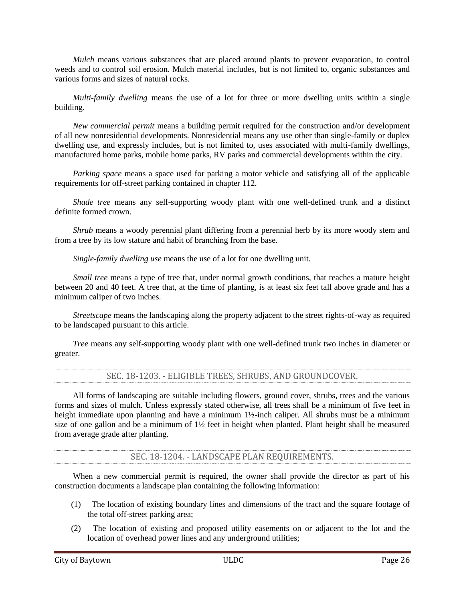(b) A minimum of one shade tree and four shrubs shall be planted and maintained for each 350 square feet or portion thereof of landscaped open space area. Credit may be given or received for preservation of existing trees as follows; provided, that the existing trees are located near or within the parking lot's perimeter, in good form and condition and reasonably free of damage by insect, disease or other affliction, as determined by the director:

| <b>Existing Tree Caliper</b> | <b>Tree Credit</b> |  |
|------------------------------|--------------------|--|
| $1\frac{1}{2}$ –6 inches     |                    |  |
| Over $6-12$ inches           |                    |  |
| Over 12 inches               |                    |  |

(c) Groundcover or mulch is required in swales, drainage areas, parking lot islands, landscape reserves and all unpaved portions of the property that is not otherwise used for a parking lot, building site or other improvement.

- (c) All persons subject to this ordinance must replace dead landscaping or landscaping that has been removed by any means and for any reason within 45 days of receipt of written notification by the director. Failure to replace landscaping as required by this section shall constitute a violation of this article punishable as provided in section 18-1208.
- (e) That portion of any off-street parking area, not otherwise required by section 112-4 that is located at a site primarily used for the storage of vehicles is exempt from the requirements of this section. Additionally, public schools of an elementary or secondary level and recreational areas owned by such schools shall be exempt from the requirements of this section.
- <span id="page-28-0"></span>(f) The landscaping requirements of this section shall not be required for heavy industry uses in a HI zoning district.

- (a) In addition to the landscaping requirements of section 18-1205, the owner of nonresidential property subject to this article shall be required to provide streetscape as described in this section and as depicted in Figure 18-1 "Streetscape Layout." Nothing in this subsection shall be construed as to require streetscape on undeveloped land. Streetscapes shall be no less than six feet wide.
- (b) Streetscape shall be required along the entire length of the property which is adjacent to a street right-of-way, except that streetscape shall not be required across driveways.
- (c) Streetscape shall include an area beginning at the property line which is adjacent to a street right-ofway, extending into the private property to establish the required width as listed in this section.
- (d) The streetscape's trees, shrubs, ground cover, and other landscaping shall be placed and maintained so as not to cause a visual obstruction and so as not to violate section 122-3.
- (e) Streetscapes shall be adequately watered using one of the following methods:
	- (1) Automatic irrigation system; or
	- (2) Manual watering, if all parts of the landscape improvements are within 100 feet of one or more hose bibs, and if a nonresidential streetscape improvement does not exceed 1,500 square feet.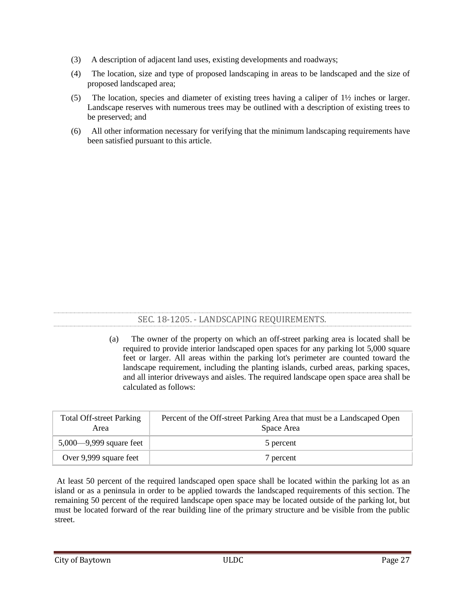(f) Streetscape width shall be determined by the street classification as identified by the city's major thoroughfare plan and shall be as follows:

| Classification | Minimum Streetscape Width |                                   |  |
|----------------|---------------------------|-----------------------------------|--|
| Local          | 6 feet                    |                                   |  |
| Collector      | 6 feet                    |                                   |  |
|                | Lot Size                  | Minimum<br><b>Street</b><br>Width |  |
| Minor Arterial | 1 acre or less            | 6 feet                            |  |
|                | More than 1 acre          | 12 feet                           |  |
| Major Arterial | Lot Size                  | Minimum<br><b>Street</b><br>Width |  |
|                | 1 acre or less            | 6 feet                            |  |
|                | More than 1 acre          | 12 feet                           |  |
| Freeway        | 25 feet                   |                                   |  |

- (g) Streetscape planting installation.
	- (1) Within a streetscape, large trees can be substituted with small trees where overhead utility lines will conflict with the large tree at or before the tree grows to its mature height.
	- (2) All trees and shrubs are to be planted in an organized fashion and in such a way as to facilitate the creation of a visual screen.
	- (3) Local and/or collector. The streetscape along local and collectors street shall be planted with either large or small trees, planted 30 feet on center, with eight shrubs, not less than two feet in height, for every 30 feet.
	- (4) Minor and major arterials. The streetscape along a major and/or minor arterial street shall be planted with either large or small trees, planted 30 feet on center, with eight shrubs not less than two feet in height for every 30 feet to form an intermittent hedge. No less than 50 percent of the tree plantings shall be large trees along minor and major arterials.
	- (5) Freeway.
		- a. The streetscape along a freeway shall be planted as a staggered double row consisting of small evergreen trees on the front row, and large trees on the back row.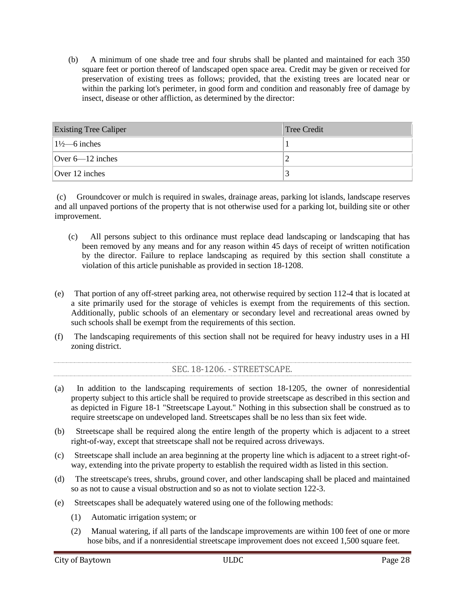- b. The front row of trees shall be planted 20 feet on center.
- c. A minimum of 50% of the back row shall be planted with evergreen trees. This row shall consist of large trees planted 25 feet on center.
- d. A minimum of 8 shrubs, not less than two feet in height, for every 20 feet forming an intermediate hedge, shall be planted in the front row.





(6) Appropriate tree planting species. Appropriate shade tree species for streetscape and buffers include the following:

| <b>Tree Species</b>                                                        | Local/<br><b>Collector</b><br><b>Streetscape</b> | <b>Arterial</b><br><b>Streetscape</b> | Freeway<br><b>Streetscape</b> | Vegetative/<br><b>Transition</b><br><b>Buffer</b> |
|----------------------------------------------------------------------------|--------------------------------------------------|---------------------------------------|-------------------------------|---------------------------------------------------|
| Elm<br>Lacebark<br>$\triangleleft(1)$<br>(Ulmus parvifolia)                | X                                                | X                                     | $\mathbf X$                   |                                                   |
| (1)<br>Southern<br>Magnolia<br>◆◆<br>(Magnolia grandiflora)                |                                                  | X                                     | $\mathbf X$                   | $\mathbf X$                                       |
| Live<br>(1)<br>Oak<br>$\blacklozenge\blacklozenge$<br>(Quercus virginiana) |                                                  | $\mathbf X$                           | $\mathbf X$                   | $\mathbf X$                                       |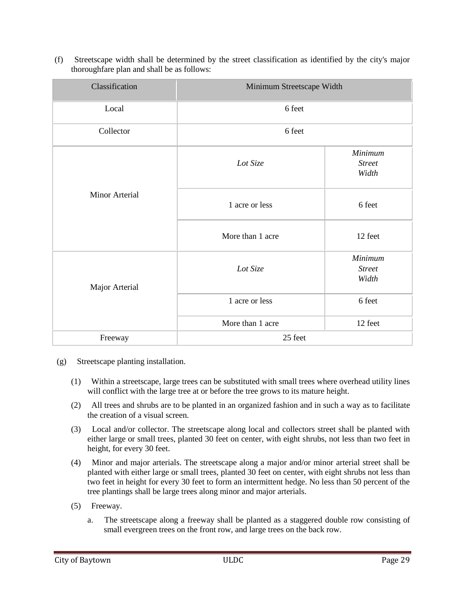| <b>Tree Species</b>                                                                             | Local/<br><b>Collector</b><br><b>Streetscape</b> | <b>Arterial</b><br><b>Streetscape</b> | <b>Freeway</b><br><b>Streetscape</b> | Vegetative/<br><b>Transition</b><br><b>Buffer</b> |
|-------------------------------------------------------------------------------------------------|--------------------------------------------------|---------------------------------------|--------------------------------------|---------------------------------------------------|
| American<br>Holly<br>(1)<br>♦♦<br>(Ilex opaca)                                                  |                                                  | $\mathbf X$                           | $\mathbf X$                          | $\mathbf X$                                       |
| (1)<br>Montezuma<br>Cypress<br>٠<br>(Taxodium mucronatum)                                       |                                                  | $\mathbf X$                           | $\mathbf X$                          | $\mathbf X$                                       |
| Eastern<br>Redcedar<br>(1)<br>◆◆<br>(Juniperus virginiana)                                      |                                                  | $\mathbf X$                           | $\mathbf X$                          | $\mathbf X$                                       |
| Crapemyrtle<br>Common<br>$\blacklozenge(s)$<br>(Lagerstroemia indica)                           | $\mathbf X$                                      | $\mathbf X$                           |                                      |                                                   |
| Waxmyrtle<br>$\blacklozenge\blacklozenge(s)$<br>(Myrica cerifera)                               | $\mathbf X$                                      | $\mathbf X$                           | $\mathbf X$                          | $\mathbf X$                                       |
| Yaupon<br>$\leftrightarrow$ (s)<br>(Ilex vomitoria)                                             | $\mathbf X$                                      | $\mathbf X$                           | $\mathbf X$                          | $\mathbf X$                                       |
| Little<br>Gem<br>Magnolia<br>$\blacklozenge\blacklozenge(\mathbf{s})$<br>(Magnolia grandiflora) | $\mathbf X$                                      | $\mathbf X$                           | $\mathbf X$                          |                                                   |
| Sweetbay<br>Magnolia<br>$\leftrightarrow$ (s)<br>(Magnolia virginiana)                          | $\mathbf X$                                      | $\mathbf X$                           | $\mathbf X$                          | $\mathbf X$                                       |
| Foster<br>Holly<br>$\blacklozenge\blacklozenge(\mathbf{s})$<br>(Ilex x attenuata 'Fosteri')     | $\mathbf X$                                      | $\mathbf X$                           | $\mathbf X$                          |                                                   |
| Flowering<br>Dogwood<br>$\blacklozenge(s)$<br>(Cornus florida)                                  | $\mathbf X$                                      | $\mathbf X$                           |                                      |                                                   |
| Nelly<br><b>Stevens</b><br>Holly<br>$\blacklozenge\blacklozenge(\mathbf{s})$<br>$($ Ilex $x)$   | $\mathbf X$                                      | $\mathbf X$                           | $\mathbf X$                          |                                                   |

(s) - small tree (l) - large tree  $\bullet$  - deciduous tree  $\bullet\bullet$  - evergreen tree

- (h) Variances.
	- (1) The director has the authority to approve variations to the streetscape tree species and the layout of the streetscape plantings as set forth in this section, so long as the number of required plantings and the size of the required plantings meet the intent of this article.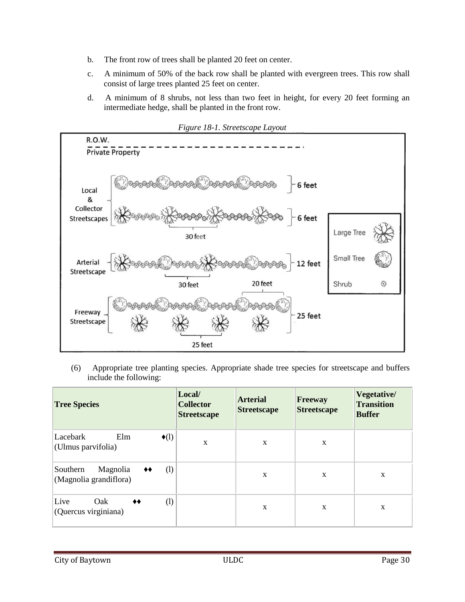- (2) Any person, wishing to appeal the director's denial of a variance pursuant to subsection (h)(2), may file a completed application for a variance pursuant to section 18-1207 within 30 days after the director's decision. Such variance request shall follow the process and procedures therein established.
- (i) Exceptions. The following shall be exempt from the streetscape requirements set forth in this section:
	- (1) A lot that is permitted to have a lot coverage greater than 91%, or
	- (2) A lot that is:
		- a. 21,780 square feet or less and
		- b. Adjacent to property developed with nonresidential land uses, which adjacent property does not have an existing streetscape.

### SEC. 18-1206.5. - VEGETATIVE AND TRANSITION BUFFER ZONES.

- <span id="page-32-0"></span>(a) *Purposes.* The purpose of the vegetative and transition buffer zones required herein is to guard against incompatible uses in adjacent zoning districts by providing a visual screen, a light barrier, a sound barrier and some containment of air movement near the ground level. The provisions of this section shall be construed to accomplish these purposes.
- (b) *Definitions.* The following words, terms and phrases, when used in this section, shall have the meanings ascribed to them in this subsection, except where the context clearly indicates a different meaning:

*HI zoning district* shall mean the HI heavy industrial zoning district established in the Unified Land Development Code.

*LI zoning district* shall mean the LI light industrial zoning district established in the Unified Land Development Code.

*Transition buffer zone* means an area, which extends inward from the property line of a site, provides protection between land uses consisting of ground cover and trees.

*Vegetative buffer zone* has the meaning ascribed to it in the Unified Land Development Code.

- (d) *Exemption.* Where vegetative and transition buffer zones are required, the property shall be exempt from section 18-1206 but must provide interior landscaped open space, as required by section 18- 1205 for parking areas located in the front yard of the development. Side and rear yard parking areas are not required to provide interior landscaped open space.
- (e) *Landscaping requirements.* The landscaping requirements of this subsection are intended to provide a continuous vegetative screening of the district or land use. The following contain the minimum standards; however, additional plantings or other forms of opaque screening may be required to accomplish this purpose.
	- (1) *Vegetative buffer zone.* Vegetative buffer zones shall have a minimum width of 50 feet.
		- a. *LI zoning district.* Vegetative buffer zones in a LI zoning district shall be in accordance with the following and as depicted in Figure 18-2 "Vegetative Buffer Zone Layout":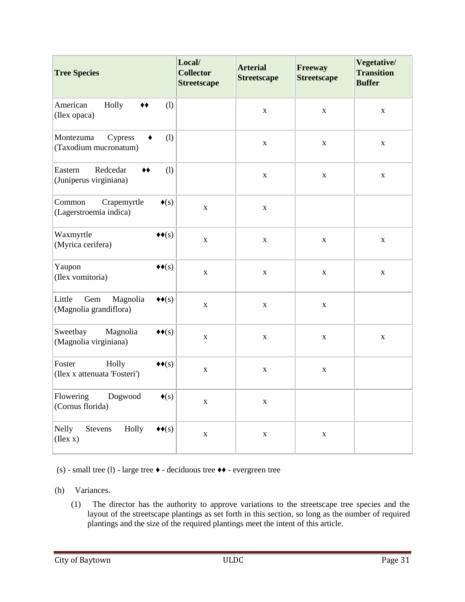- 1. LI zone 1 shall include an area adjacent to the property line, beginning at the property line and extending into the private property for a distance of 25 feet. The owner shall plant and maintain at least the following in LI zone 1:
	- i. A staggered double row consisting of small evergreen trees on the front row, and large trees on the back row.
	- ii. The front row of trees shall be planted 20 feet on center.
	- iii. A minimum of 50% of the back row shall consist of large evergreen trees.
	- iv. The back row shall be planted 25 feet on center.
	- v. A minimum of 8 shrubs, not less than two feet in height, for every 20 feet forming an intermediate hedge, shall be planted in the front row along the rightof-way.
	- vi. Groundcover extending for 25 feet measured from the outside boundary of the LI zone 1, which groundcover shall be maintained in accordance with article II of chapter 42.
- 2. LI zone 2 shall include an area adjacent to LI zone 1, beginning at the interior boundary of LI zone 1 and extending into the property for a minimum distance of 25 feet. In LI zone 2, the owner shall plant and maintain at least the following:
	- i. A row of large trees planted 15 feet from the inner boundary of LI zone 2.
	- ii. The trees shall be planted 25 feet on center.
	- iii. Such trees shall be offset 12.5 feet from the trees in the back row of LI zone 1.



*Figure 18-2. Vegetative Buffer Zone Layout* 

- b. *HI zoning district.* Vegetative buffer zones in an HI zoning district shall be in accordance with the following and as depicted in Figure 18-3 "Vegetative Buffer Zone Layout":
	- 1. HI zone 1 shall include an area adjacent to the property line, beginning at the property line and extending into the private property for a distance of 25 feet. The owner shall plant and maintain groundcover extending throughout the entire HI zone 1, which shall be maintained in accordance with article II of chapter 42.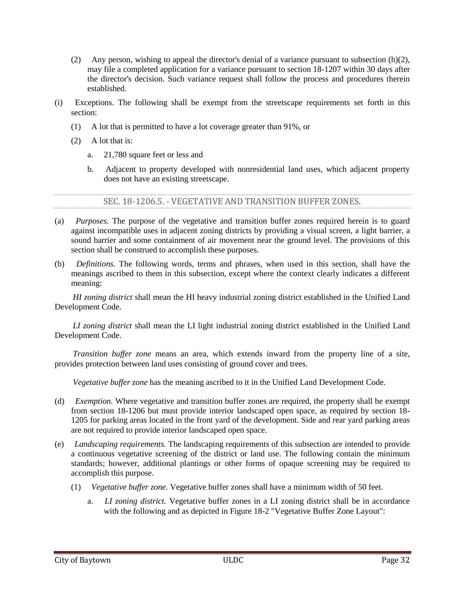- 2. HI zone 2 shall include an area adjacent to HI zone 1, beginning at the interior boundary of HI zone 1 and extending into the property for a minimum distance of 25 feet. The owner shall plant and maintain at least the following in HI zone 2:
	- i. Mixture of small trees and shade trees, which shall be planted every 30 linear feet, 15 feet from the inside boundary of HI zone 1; provided, however, that no more than 50 percent of trees may be small trees; and
	- ii. Eight shrubs for every 30 linear feet evenly spaced.

HI zone 2 shall be maintained so as to allow native trees, shrubs, vines, and other forms of vegetation to grow.

- 3. HI zone 3 shall include an area adjacent to HI zone 2, beginning at the interior boundary of HI zone 2 and extending into the property for a minimum distance of 25 feet. In HI zone 3, the owner shall plant and maintain the following:
	- i. At least one shade tree every 30 linear feet with centers ten feet from the inner boundary of HI zone 2. Such trees shall be offset ten feet from the trees in HI zone 2; and
	- ii. At least one shade tree every 30 linear feet with centers 20 feet from the inner boundary of HI zone 3. Such trees shall be offset ten feet from the trees required in subsection  $(e)(1)(b)(2)(i)$ .

HI zone 3 shall be maintained so as to allow native trees, shrubs, vines, and other forms of vegetation to grow naturally.



*Figure 18-3. Vegetative Buffer Zone Layout* 

(2) *Transition buffer zone.* A transition buffer zone provides protection to adjacent land uses and shall consist of: